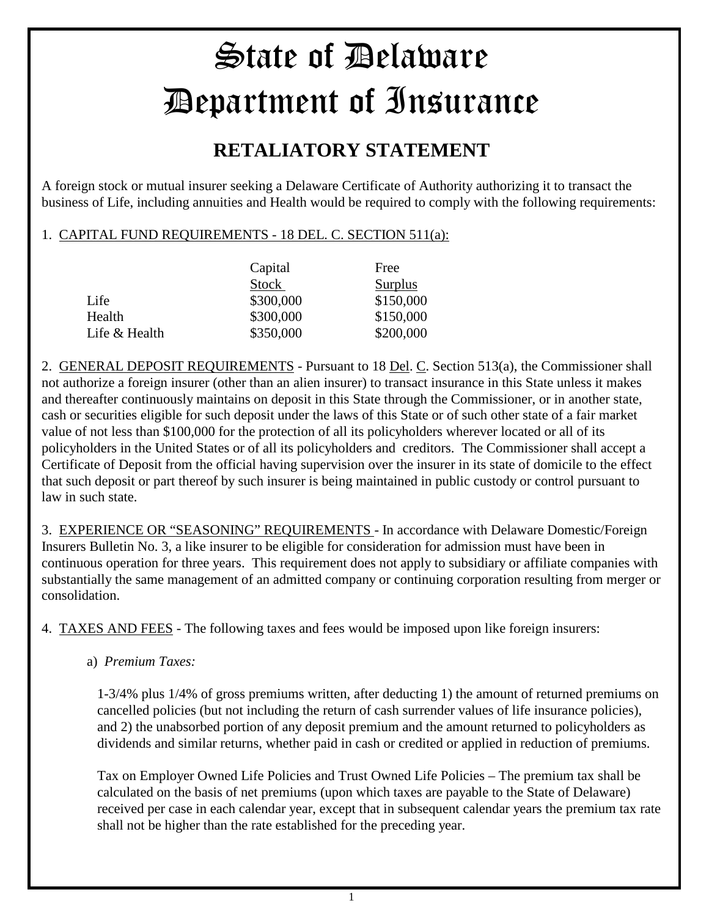## State of Delaware Department of Insurance

## **RETALIATORY STATEMENT**

A foreign stock or mutual insurer seeking a Delaware Certificate of Authority authorizing it to transact the business of Life, including annuities and Health would be required to comply with the following requirements:

## 1. CAPITAL FUND REQUIREMENTS - 18 DEL. C. SECTION 511(a):

|               | Capital      | Free           |
|---------------|--------------|----------------|
|               | <b>Stock</b> | <b>Surplus</b> |
| Life          | \$300,000    | \$150,000      |
| Health        | \$300,000    | \$150,000      |
| Life & Health | \$350,000    | \$200,000      |

2. GENERAL DEPOSIT REQUIREMENTS - Pursuant to 18 Del. C. Section 513(a), the Commissioner shall not authorize a foreign insurer (other than an alien insurer) to transact insurance in this State unless it makes and thereafter continuously maintains on deposit in this State through the Commissioner, or in another state, cash or securities eligible for such deposit under the laws of this State or of such other state of a fair market value of not less than \$100,000 for the protection of all its policyholders wherever located or all of its policyholders in the United States or of all its policyholders and creditors. The Commissioner shall accept a Certificate of Deposit from the official having supervision over the insurer in its state of domicile to the effect that such deposit or part thereof by such insurer is being maintained in public custody or control pursuant to law in such state.

3. EXPERIENCE OR "SEASONING" REQUIREMENTS - In accordance with Delaware Domestic/Foreign Insurers Bulletin No. 3, a like insurer to be eligible for consideration for admission must have been in continuous operation for three years. This requirement does not apply to subsidiary or affiliate companies with substantially the same management of an admitted company or continuing corporation resulting from merger or consolidation.

4. TAXES AND FEES - The following taxes and fees would be imposed upon like foreign insurers:

a) *Premium Taxes:*

1-3/4% plus 1/4% of gross premiums written, after deducting 1) the amount of returned premiums on cancelled policies (but not including the return of cash surrender values of life insurance policies), and 2) the unabsorbed portion of any deposit premium and the amount returned to policyholders as dividends and similar returns, whether paid in cash or credited or applied in reduction of premiums.

Tax on Employer Owned Life Policies and Trust Owned Life Policies – The premium tax shall be calculated on the basis of net premiums (upon which taxes are payable to the State of Delaware) received per case in each calendar year, except that in subsequent calendar years the premium tax rate shall not be higher than the rate established for the preceding year.